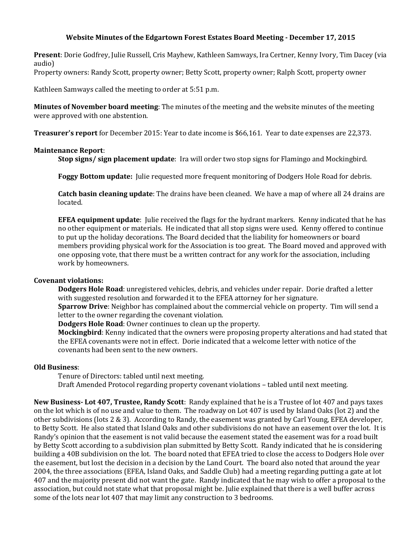## **Website Minutes of the Edgartown Forest Estates Board Meeting - December 17, 2015**

**Present**: Dorie Godfrey, Julie Russell, Cris Mayhew, Kathleen Samways, Ira Certner, Kenny Ivory, Tim Dacey (via audio)

Property owners: Randy Scott, property owner; Betty Scott, property owner; Ralph Scott, property owner

Kathleen Samways called the meeting to order at 5:51 p.m.

**Minutes of November board meeting**: The minutes of the meeting and the website minutes of the meeting were approved with one abstention.

**Treasurer's report** for December 2015: Year to date income is \$66,161. Year to date expenses are 22,373.

## **Maintenance Report**:

**Stop signs/ sign placement update**: Ira will order two stop signs for Flamingo and Mockingbird.

**Foggy Bottom update:** Julie requested more frequent monitoring of Dodgers Hole Road for debris.

**Catch basin cleaning update**: The drains have been cleaned. We have a map of where all 24 drains are located.

**EFEA equipment update**: Julie received the flags for the hydrant markers. Kenny indicated that he has no other equipment or materials. He indicated that all stop signs were used. Kenny offered to continue to put up the holiday decorations. The Board decided that the liability for homeowners or board members providing physical work for the Association is too great. The Board moved and approved with one opposing vote, that there must be a written contract for any work for the association, including work by homeowners.

## **Covenant violations:**

**Dodgers Hole Road**: unregistered vehicles, debris, and vehicles under repair. Dorie drafted a letter with suggested resolution and forwarded it to the EFEA attorney for her signature.

**Sparrow Drive**: Neighbor has complained about the commercial vehicle on property. Tim will send a letter to the owner regarding the covenant violation.

**Dodgers Hole Road**: Owner continues to clean up the property.

**Mockingbird**: Kenny indicated that the owners were proposing property alterations and had stated that the EFEA covenants were not in effect. Dorie indicated that a welcome letter with notice of the covenants had been sent to the new owners.

## **Old Business**:

Tenure of Directors: tabled until next meeting.

Draft Amended Protocol regarding property covenant violations – tabled until next meeting.

**New Business- Lot 407, Trustee, Randy Scott**: Randy explained that he is a Trustee of lot 407 and pays taxes on the lot which is of no use and value to them. The roadway on Lot 407 is used by Island Oaks (lot 2) and the other subdivisions (lots 2 & 3). According to Randy, the easement was granted by Carl Young, EFEA developer, to Betty Scott. He also stated that Island Oaks and other subdivisions do not have an easement over the lot. It is Randy's opinion that the easement is not valid because the easement stated the easement was for a road built by Betty Scott according to a subdivision plan submitted by Betty Scott. Randy indicated that he is considering building a 40B subdivision on the lot. The board noted that EFEA tried to close the access to Dodgers Hole over the easement, but lost the decision in a decision by the Land Court. The board also noted that around the year 2004, the three associations (EFEA, Island Oaks, and Saddle Club) had a meeting regarding putting a gate at lot 407 and the majority present did not want the gate. Randy indicated that he may wish to offer a proposal to the association, but could not state what that proposal might be. Julie explained that there is a well buffer across some of the lots near lot 407 that may limit any construction to 3 bedrooms.